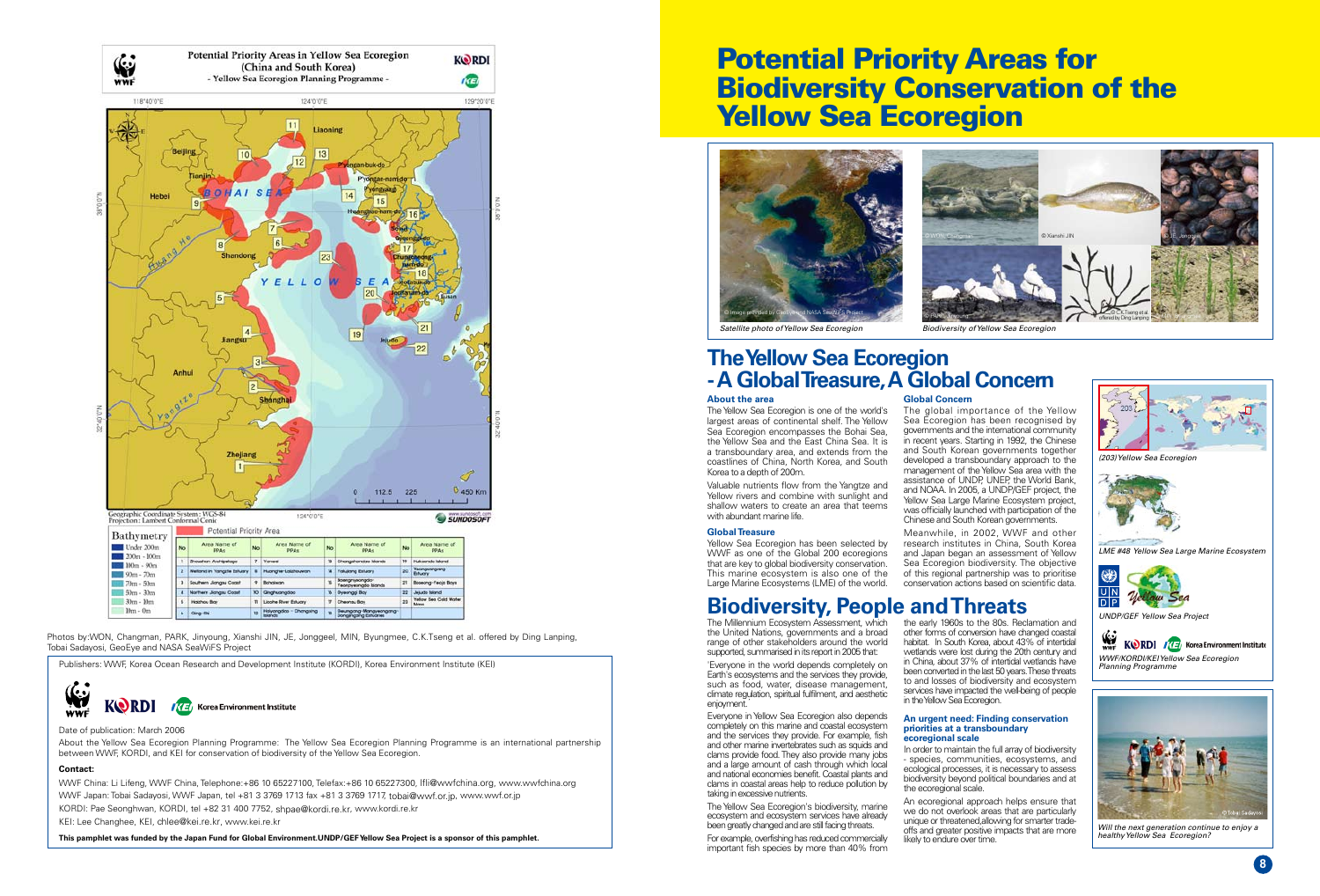### **About the area**

The Yellow Sea Ecoregion is one of the world's largest areas of continental shelf. The Yellow Sea Ecoregion encompasses the Bohai Sea, the Yellow Sea and the East China Sea. It is a transboundary area, and extends from the coastlines of China, North Korea, and South Korea to a depth of 200m.

Yellow Sea Ecoregion has been selected by WWF as one of the Global 200 ecoregions that are key to global biodiversity conservation. This marine ecosystem is also one of the Large Marine Ecosystems (LME) of the world.

The Millennium Ecosystem Assessment, which the United Nations, governments and a broad range of other stakeholders around the world supported, summarised in its report in 2005 that:

Valuable nutrients flow from the Yangtze and Yellow rivers and combine with sunlight and shallow waters to create an area that teems with abundant marine life.

'Everyone in the world depends completely on Earth's ecosystems and the services they provide, such as food, water, disease management, climate regulation, spiritual fulfilment, and aesthetic enjoyment.

Everyone in Yellow Sea Ecoregion also depends completely on this marine and coastal ecosystem and the services they provide. For example, fish and other marine invertebrates such as squids and clams provide food.They also provide many jobs and a large amount of cash through which local and national economies benefit. Coastal plants and clams in coastal areas help to reduce pollution by taking in excessive nutrients.

The Yellow Sea Ecoregion's biodiversity, marine ecosystem and ecosystem services have already been greatly changed and are still facing threats.

### **GlobalTreasure**

For example, overfishing has reduced commercially important fish species by more than 40% from

**Global Concern** The global importance of the Yellow Sea Ecoregion has been recognised by governments and the international community in recent years. Starting in 1992, the Chinese and South Korean governments together developed a transboundary approach to the management of the Yellow Sea area with the assistance of UNDP, UNEP, the World Bank, and NOAA. In 2005, a UNDP/GEF project, the Yellow Sea Large Marine Ecosystem project, was officially launched with participation of the Chinese and South Korean governments.



the early 1960s to the 80s. Reclamation and other forms of conversion have changed coastal habitat. In South Korea, about 43% of intertidal wetlands were lost during the 20th century and in China, about 37% of intertidal wetlands have been converted in the last 50 years. These threats to and losses of biodiversity and ecosystem services have impacted the well-being of people in the Yellow Sea Ecoregion.

*healthy Yellow Sea Ecoregion?*

## **TheYellow Sea Ecoregion -A GlobalTreasure,A Global Concern**

Publishers: WWF, Korea Ocean Research and Development Institute (KORDI), Korea Environment Institute (KEI)



### Date of publication: March 2006

About the Yellow Sea Ecoregion Planning Programme: The Yellow Sea Ecoregion Planning Programme is an international partnership between WWF, KORDI, and KEI for conservation of biodiversity of the Yellow Sea Ecoregion.

> An ecoregional approach helps ensure that we do not overlook areas that are particularly unique or threatened, allowing for smarter tradeoffs and greater positive impacts that are more likely to endure over time.

### **Contact:**

WWF China: Li Lifeng, WWF China, Telephone:+86 10 65227100, Telefax:+86 10 65227300, lfli@wwfchina.org, www.wwfchina.org WWF Japan: Tobai Sadayosi, WWF Japan, tel +81 3 3769 1713 fax +81 3 3769 1717, tobai@wwf.or.jp, www.wwf.or.jp KORDI: Pae Seonghwan, KORDI, tel +82 31 400 7752, shpae@kordi.re.kr, www.kordi.re.kr KEI: Lee Changhee, KEI, chlee@kei.re.kr, www.kei.re.kr

This pamphlet was funded by the Japan Fund for Global Environment.UNDP/GEF Yellow Sea Project is a sponsor of this pamphlet.

# Potential Priority Areas for Biodiversity Conservation of the **Yellow Sea Ecoregion**

*Satellite photo of Yellow Sea Ecoregion Biodiversity of Yellow Sea Ecoregion* 



Meanwhile, in 2002, WWF and other research institutes in China, South Korea and Japan began an assessment of Yellow Sea Ecoregion biodiversity. The objective of this regional partnership was to prioritise conservation actions based on scientific data.

## **Biodiversity, People andThreats**

### **An urgent need: Finding conservation priorities at a transboundary ecoregional scale**

In order to maintain the full array of biodiversity - species, communities, ecosystems, and ecological processes, it is necessary to assess biodiversity beyond political boundaries and at the ecoregional scale.











Photos by:WON, Changman, PARK, Jinyoung, Xianshi JIN, JE, Jonggeel, MIN, Byungmee, C.K.Tseng et al. offered by Ding Lanping, Tobai Sadayosi, GeoEye and NASA SeaWiFS Project